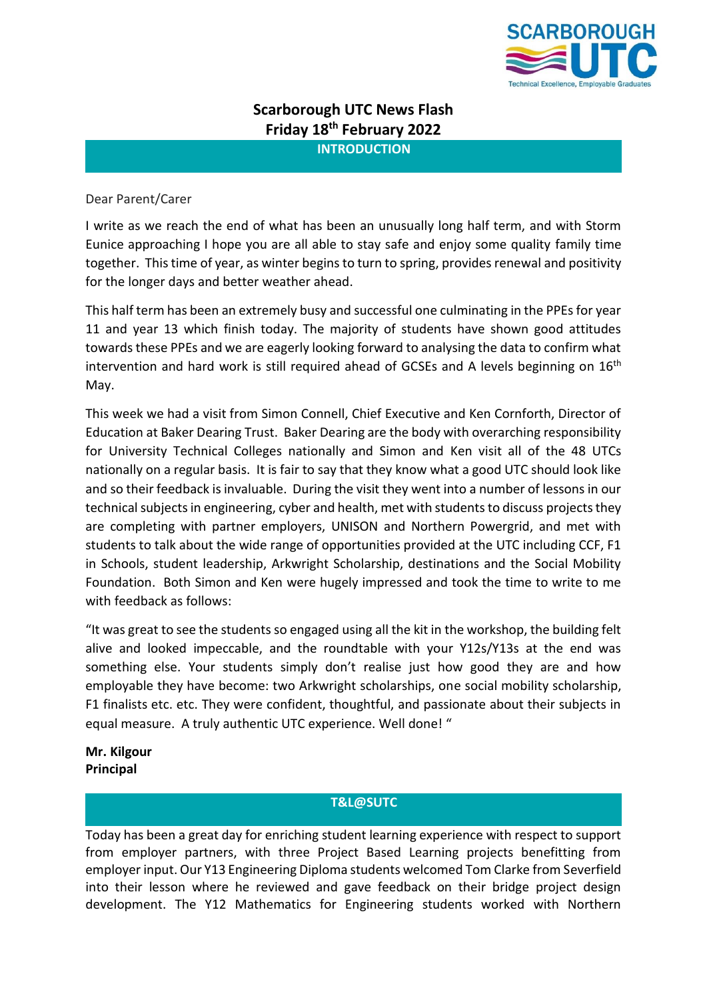

# **Scarborough UTC News Flash Friday 18 th February 2022**

**INTRODUCTION**

### Dear Parent/Carer

I write as we reach the end of what has been an unusually long half term, and with Storm Eunice approaching I hope you are all able to stay safe and enjoy some quality family time together. This time of year, as winter begins to turn to spring, provides renewal and positivity for the longer days and better weather ahead.

This half term has been an extremely busy and successful one culminating in the PPEs for year 11 and year 13 which finish today. The majority of students have shown good attitudes towards these PPEs and we are eagerly looking forward to analysing the data to confirm what intervention and hard work is still required ahead of GCSEs and A levels beginning on  $16<sup>th</sup>$ May.

This week we had a visit from Simon Connell, Chief Executive and Ken Cornforth, Director of Education at Baker Dearing Trust. Baker Dearing are the body with overarching responsibility for University Technical Colleges nationally and Simon and Ken visit all of the 48 UTCs nationally on a regular basis. It is fair to say that they know what a good UTC should look like and so their feedback is invaluable. During the visit they went into a number of lessons in our technical subjects in engineering, cyber and health, met with students to discuss projects they are completing with partner employers, UNISON and Northern Powergrid, and met with students to talk about the wide range of opportunities provided at the UTC including CCF, F1 in Schools, student leadership, Arkwright Scholarship, destinations and the Social Mobility Foundation. Both Simon and Ken were hugely impressed and took the time to write to me with feedback as follows:

"It was great to see the students so engaged using all the kit in the workshop, the building felt alive and looked impeccable, and the roundtable with your Y12s/Y13s at the end was something else. Your students simply don't realise just how good they are and how employable they have become: two Arkwright scholarships, one social mobility scholarship, F1 finalists etc. etc. They were confident, thoughtful, and passionate about their subjects in equal measure. A truly authentic UTC experience. Well done! "

**Mr. Kilgour Principal**

## **T&L@SUTC**

Today has been a great day for enriching student learning experience with respect to support from employer partners, with three Project Based Learning projects benefitting from employer input. Our Y13 Engineering Diploma students welcomed Tom Clarke from Severfield into their lesson where he reviewed and gave feedback on their bridge project design development. The Y12 Mathematics for Engineering students worked with Northern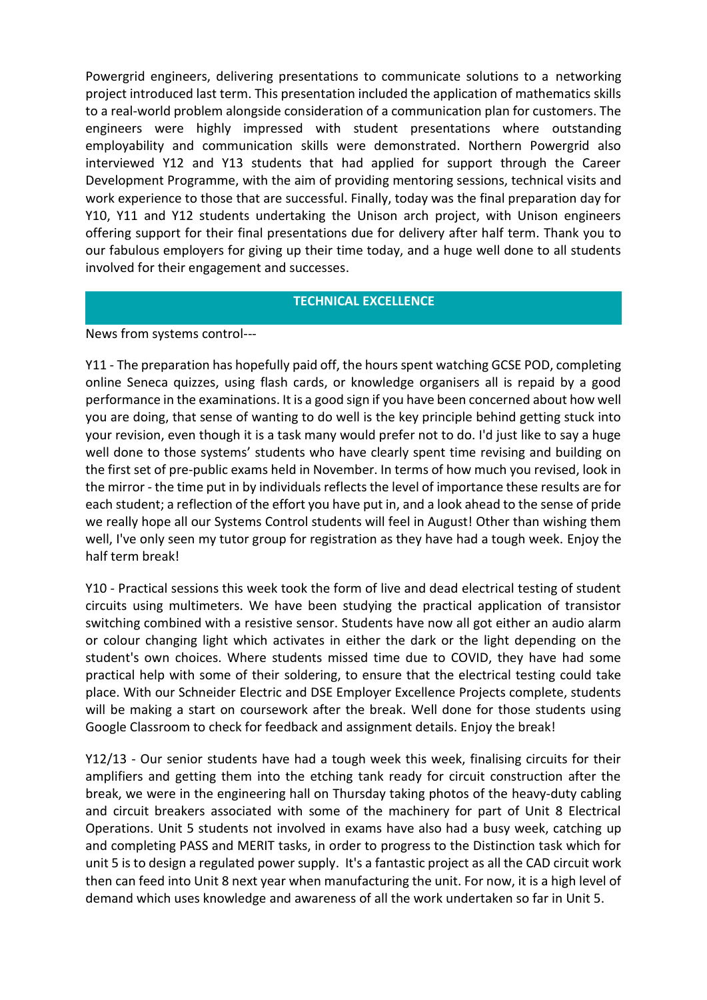Powergrid engineers, delivering presentations to communicate solutions to a networking project introduced last term. This presentation included the application of mathematics skills to a real-world problem alongside consideration of a communication plan for customers. The engineers were highly impressed with student presentations where outstanding employability and communication skills were demonstrated. Northern Powergrid also interviewed Y12 and Y13 students that had applied for support through the Career Development Programme, with the aim of providing mentoring sessions, technical visits and work experience to those that are successful. Finally, today was the final preparation day for Y10, Y11 and Y12 students undertaking the Unison arch project, with Unison engineers offering support for their final presentations due for delivery after half term. Thank you to our fabulous employers for giving up their time today, and a huge well done to all students involved for their engagement and successes.

# **TECHNICAL EXCELLENCE**

News from systems control---

Y11 - The preparation has hopefully paid off, the hours spent watching GCSE POD, completing online Seneca quizzes, using flash cards, or knowledge organisers all is repaid by a good performance in the examinations. It is a good sign if you have been concerned about how well you are doing, that sense of wanting to do well is the key principle behind getting stuck into your revision, even though it is a task many would prefer not to do. I'd just like to say a huge well done to those systems' students who have clearly spent time revising and building on the first set of pre-public exams held in November. In terms of how much you revised, look in the mirror - the time put in by individuals reflects the level of importance these results are for each student; a reflection of the effort you have put in, and a look ahead to the sense of pride we really hope all our Systems Control students will feel in August! Other than wishing them well, I've only seen my tutor group for registration as they have had a tough week. Enjoy the half term break!

Y10 - Practical sessions this week took the form of live and dead electrical testing of student circuits using multimeters. We have been studying the practical application of transistor switching combined with a resistive sensor. Students have now all got either an audio alarm or colour changing light which activates in either the dark or the light depending on the student's own choices. Where students missed time due to COVID, they have had some practical help with some of their soldering, to ensure that the electrical testing could take place. With our Schneider Electric and DSE Employer Excellence Projects complete, students will be making a start on coursework after the break. Well done for those students using Google Classroom to check for feedback and assignment details. Enjoy the break!

Y12/13 - Our senior students have had a tough week this week, finalising circuits for their amplifiers and getting them into the etching tank ready for circuit construction after the break, we were in the engineering hall on Thursday taking photos of the heavy-duty cabling and circuit breakers associated with some of the machinery for part of Unit 8 Electrical Operations. Unit 5 students not involved in exams have also had a busy week, catching up and completing PASS and MERIT tasks, in order to progress to the Distinction task which for unit 5 is to design a regulated power supply. It's a fantastic project as all the CAD circuit work then can feed into Unit 8 next year when manufacturing the unit. For now, it is a high level of demand which uses knowledge and awareness of all the work undertaken so far in Unit 5.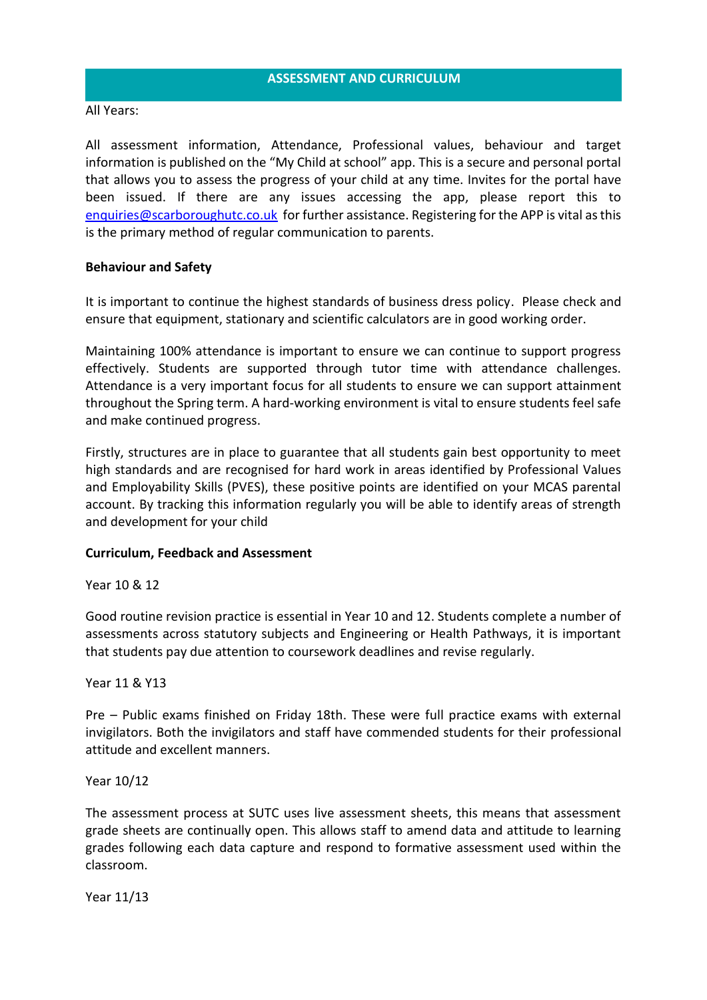#### All Years:

All assessment information, Attendance, Professional values, behaviour and target information is published on the "My Child at school" app. This is a secure and personal portal that allows you to assess the progress of your child at any time. Invites for the portal have been issued. If there are any issues accessing the app, please report this to [enquiries@scarboroughutc.co.uk](mailto:enquiries@scarboroughutc.co.uk) for further assistance. Registering for the APP is vital as this is the primary method of regular communication to parents.

#### **Behaviour and Safety**

It is important to continue the highest standards of business dress policy. Please check and ensure that equipment, stationary and scientific calculators are in good working order.

Maintaining 100% attendance is important to ensure we can continue to support progress effectively. Students are supported through tutor time with attendance challenges. Attendance is a very important focus for all students to ensure we can support attainment throughout the Spring term. A hard-working environment is vital to ensure students feel safe and make continued progress.

Firstly, structures are in place to guarantee that all students gain best opportunity to meet high standards and are recognised for hard work in areas identified by Professional Values and Employability Skills (PVES), these positive points are identified on your MCAS parental account. By tracking this information regularly you will be able to identify areas of strength and development for your child

#### **Curriculum, Feedback and Assessment**

Year 10 & 12

Good routine revision practice is essential in Year 10 and 12. Students complete a number of assessments across statutory subjects and Engineering or Health Pathways, it is important that students pay due attention to coursework deadlines and revise regularly.

Year 11 & Y13

Pre – Public exams finished on Friday 18th. These were full practice exams with external invigilators. Both the invigilators and staff have commended students for their professional attitude and excellent manners.

Year 10/12

The assessment process at SUTC uses live assessment sheets, this means that assessment grade sheets are continually open. This allows staff to amend data and attitude to learning grades following each data capture and respond to formative assessment used within the classroom.

Year 11/13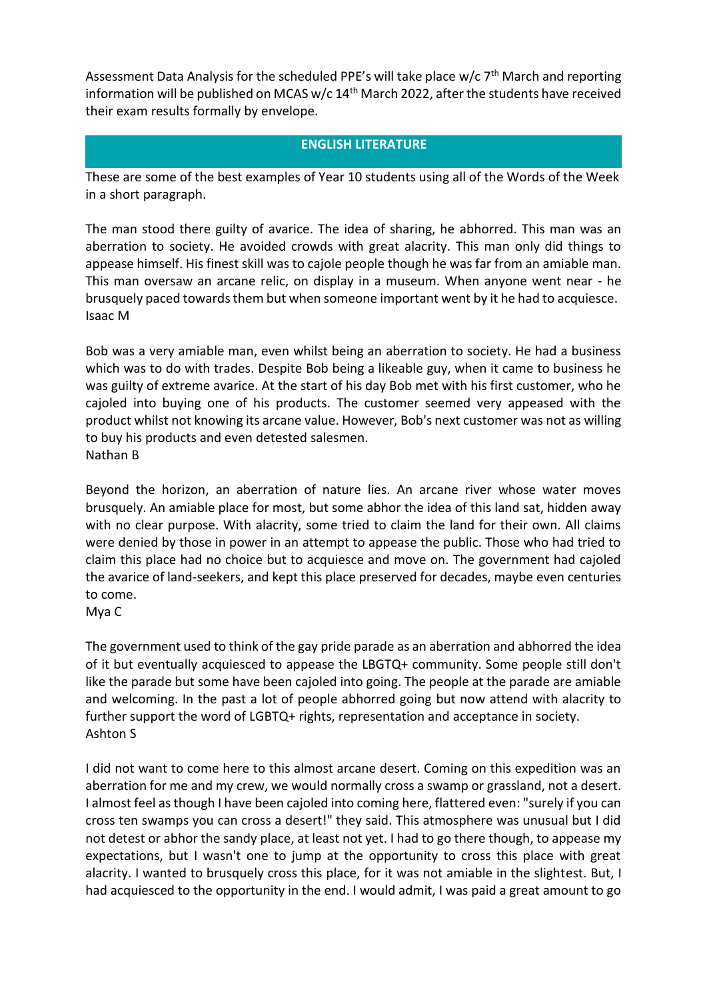Assessment Data Analysis for the scheduled PPE's will take place w/c 7<sup>th</sup> March and reporting information will be published on MCAS w/c  $14<sup>th</sup>$  March 2022, after the students have received their exam results formally by envelope.

## **ENGLISH LITERATURE**

These are some of the best examples of Year 10 students using all of the Words of the Week in a short paragraph.

The man stood there guilty of avarice. The idea of sharing, he abhorred. This man was an aberration to society. He avoided crowds with great alacrity. This man only did things to appease himself. His finest skill was to cajole people though he was far from an amiable man. This man oversaw an arcane relic, on display in a museum. When anyone went near - he brusquely paced towards them but when someone important went by it he had to acquiesce. Isaac M

Bob was a very amiable man, even whilst being an aberration to society. He had a business which was to do with trades. Despite Bob being a likeable guy, when it came to business he was guilty of extreme avarice. At the start of his day Bob met with his first customer, who he cajoled into buying one of his products. The customer seemed very appeased with the product whilst not knowing its arcane value. However, Bob's next customer was not as willing to buy his products and even detested salesmen. Nathan B

Beyond the horizon, an aberration of nature lies. An arcane river whose water moves brusquely. An amiable place for most, but some abhor the idea of this land sat, hidden away with no clear purpose. With alacrity, some tried to claim the land for their own. All claims were denied by those in power in an attempt to appease the public. Those who had tried to claim this place had no choice but to acquiesce and move on. The government had cajoled the avarice of land-seekers, and kept this place preserved for decades, maybe even centuries to come.

Mya C

The government used to think of the gay pride parade as an aberration and abhorred the idea of it but eventually acquiesced to appease the LBGTQ+ community. Some people still don't like the parade but some have been cajoled into going. The people at the parade are amiable and welcoming. In the past a lot of people abhorred going but now attend with alacrity to further support the word of LGBTQ+ rights, representation and acceptance in society. Ashton S

I did not want to come here to this almost arcane desert. Coming on this expedition was an aberration for me and my crew, we would normally cross a swamp or grassland, not a desert. I almost feel as though I have been cajoled into coming here, flattered even: "surely if you can cross ten swamps you can cross a desert!" they said. This atmosphere was unusual but I did not detest or abhor the sandy place, at least not yet. I had to go there though, to appease my expectations, but I wasn't one to jump at the opportunity to cross this place with great alacrity. I wanted to brusquely cross this place, for it was not amiable in the slightest. But, I had acquiesced to the opportunity in the end. I would admit, I was paid a great amount to go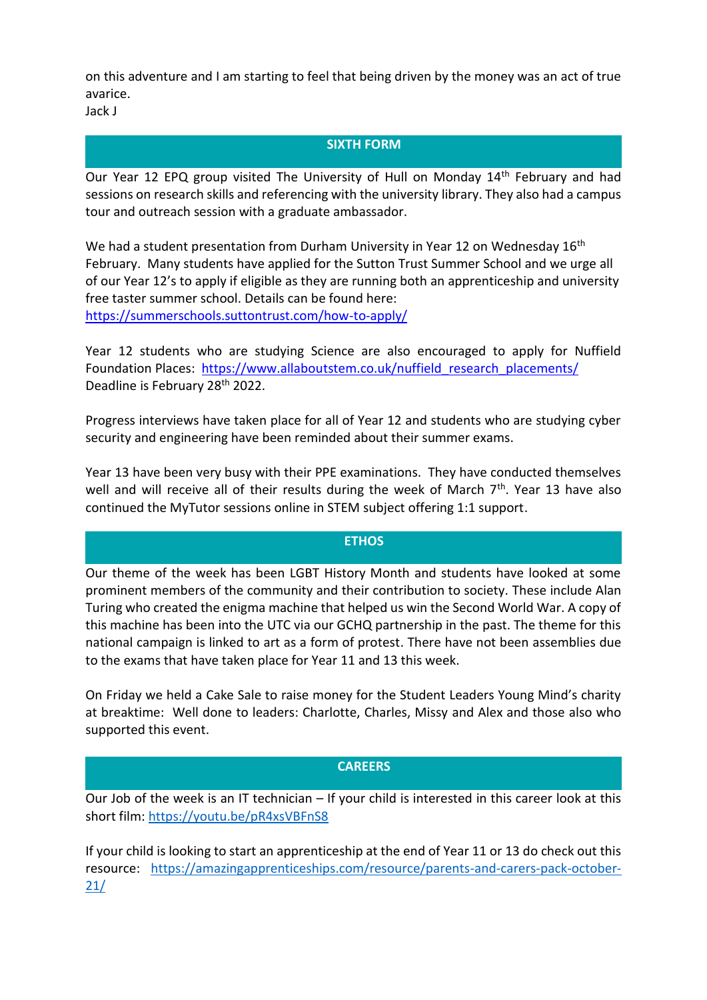on this adventure and I am starting to feel that being driven by the money was an act of true avarice.

Jack J

# **SIXTH FORM**

Our Year 12 EPQ group visited The University of Hull on Monday 14th February and had sessions on research skills and referencing with the university library. They also had a campus tour and outreach session with a graduate ambassador.

We had a student presentation from Durham University in Year 12 on Wednesday 16<sup>th</sup> February. Many students have applied for the Sutton Trust Summer School and we urge all of our Year 12's to apply if eligible as they are running both an apprenticeship and university free taster summer school. Details can be found here: <https://summerschools.suttontrust.com/how-to-apply/>

Year 12 students who are studying Science are also encouraged to apply for Nuffield Foundation Places: [https://www.allaboutstem.co.uk/nuffield\\_research\\_placements/](https://www.allaboutstem.co.uk/nuffield_research_placements/) Deadline is February 28th 2022.

Progress interviews have taken place for all of Year 12 and students who are studying cyber security and engineering have been reminded about their summer exams.

Year 13 have been very busy with their PPE examinations. They have conducted themselves well and will receive all of their results during the week of March  $7<sup>th</sup>$ . Year 13 have also continued the MyTutor sessions online in STEM subject offering 1:1 support.

#### **ETHOS**

Our theme of the week has been LGBT History Month and students have looked at some prominent members of the community and their contribution to society. These include Alan Turing who created the enigma machine that helped us win the Second World War. A copy of this machine has been into the UTC via our GCHQ partnership in the past. The theme for this national campaign is linked to art as a form of protest. There have not been assemblies due to the exams that have taken place for Year 11 and 13 this week.

On Friday we held a Cake Sale to raise money for the Student Leaders Young Mind's charity at breaktime: Well done to leaders: Charlotte, Charles, Missy and Alex and those also who supported this event.

## **CAREERS**

Our Job of the week is an IT technician – If your child is interested in this career look at this short film: <https://youtu.be/pR4xsVBFnS8>

If your child is looking to start an apprenticeship at the end of Year 11 or 13 do check out this resource: [https://amazingapprenticeships.com/resource/parents-and-carers-pack-october-](https://amazingapprenticeships.com/resource/parents-and-carers-pack-october-21/)[21/](https://amazingapprenticeships.com/resource/parents-and-carers-pack-october-21/)